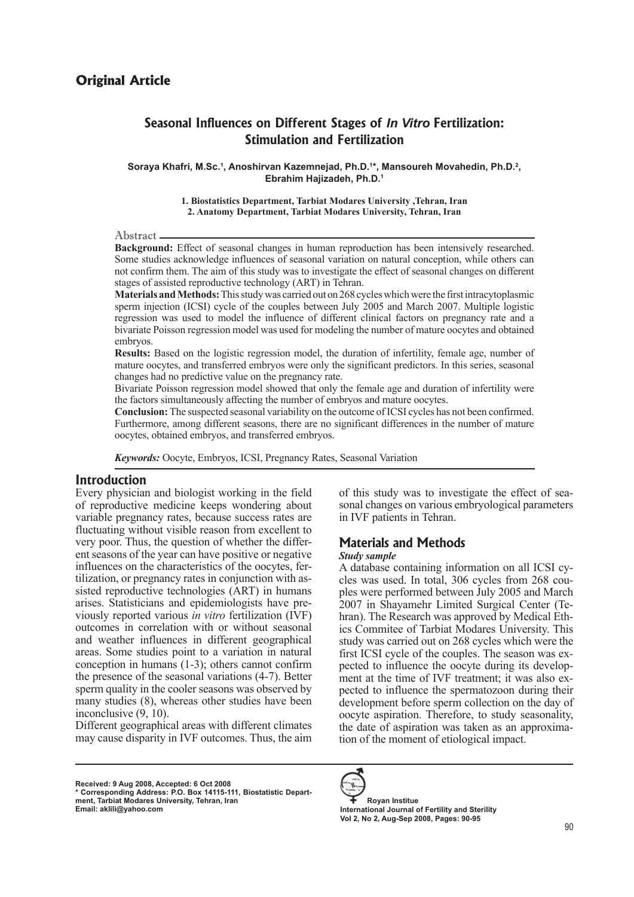# **Seasonal Influences on Different Stages of** *In Vitro* **Fertilization: Stimulation and Fertilization**

**Soraya Khafri, M.Sc.1 , Anoshirvan Kazemnejad, Ph.D.1 \*, Mansoureh Movahedin, Ph.D.2 , Ebrahim Hajizadeh, Ph.D.1**

> **1. Biostatistics Department, Tarbiat Modares University ,Tehran, Iran 2. Anatomy Department, Tarbiat Modares University, Tehran, Iran**

#### Abstract.

**Background:** Effect of seasonal changes in human reproduction has been intensively researched. Some studies acknowledge influences of seasonal variation on natural conception, while others can not confirm them. The aim of this study was to investigate the effect of seasonal changes on different stages of assisted reproductive technology (ART) in Tehran.

**Materials and Methods:** This study was carried out on 268 cycles which were the first intracytoplasmic sperm injection (ICSI) cycle of the couples between July 2005 and March 2007. Multiple logistic regression was used to model the influence of different clinical factors on pregnancy rate and a bivariate Poisson regression model was used for modeling the number of mature oocytes and obtained embryos.

**Results:** Based on the logistic regression model, the duration of infertility, female age, number of mature oocytes, and transferred embryos were only the significant predictors. In this series, seasonal changes had no predictive value on the pregnancy rate.

Bivariate Poisson regression model showed that only the female age and duration of infertility were the factors simultaneously affecting the number of embryos and mature oocytes.

**Conclusion:** The suspected seasonal variability on the outcome of ICSI cycles has not been confirmed. Furthermore, among different seasons, there are no significant differences in the number of mature oocytes, obtained embryos, and transferred embryos.

*Keywords:* Oocyte, Embryos, ICSI, Pregnancy Rates, Seasonal Variation

## **Introduction**

Every physician and biologist working in the field of reproductive medicine keeps wondering about variable pregnancy rates, because success rates are fluctuating without visible reason from excellent to very poor. Thus, the question of whether the different seasons of the year can have positive or negative influences on the characteristics of the oocytes, fertilization, or pregnancy rates in conjunction with assisted reproductive technologies (ART) in humans arises. Statisticians and epidemiologists have previously reported various *in vitro* fertilization (IVF) outcomes in correlation with or without seasonal and weather influences in different geographical areas. Some studies point to a variation in natural conception in humans (1-3); others cannot confirm the presence of the seasonal variations (4-7). Better sperm quality in the cooler seasons was observed by many studies (8), whereas other studies have been inconclusive (9, 10).

Different geographical areas with different climates may cause disparity in IVF outcomes. Thus, the aim

**Received: 9 Aug 2008, Accepted: 6 Oct 2008**

of this study was to investigate the effect of seasonal changes on various embryological parameters in IVF patients in Tehran.

# **Materials and Methods**

### *Study sample*

A database containing information on all ICSI cycles was used. In total, 306 cycles from 268 couples were performed between July 2005 and March 2007 in Shayamehr Limited Surgical Center (Tehran). The Research was approved by Medical Ethics Commitee of Tarbiat Modares University. This study was carried out on 268 cycles which were the first ICSI cycle of the couples. The season was expected to influence the oocyte during its development at the time of IVF treatment; it was also expected to influence the spermatozoon during their development before sperm collection on the day of oocyte aspiration. Therefore, to study seasonality, the date of aspiration was taken as an approximation of the moment of etiological impact.



 **Royan Institue International Journal of Fertility and Sterility Vol 2, No 2, Aug-Sep 2008, Pages: 90-95**

**<sup>\*</sup> Corresponding Address: P.O. Box 14115-111, Biostatistic Department, Tarbiat Modares University, Tehran, Iran Email: aklili@yahoo.com**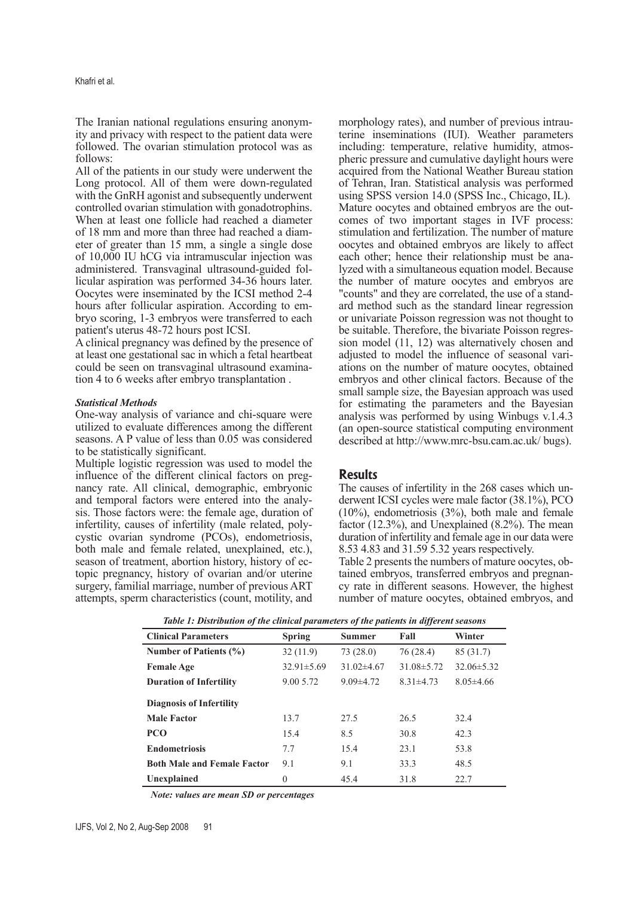The Iranian national regulations ensuring anonymity and privacy with respect to the patient data were followed. The ovarian stimulation protocol was as follows:

All of the patients in our study were underwent the Long protocol. All of them were down-regulated with the GnRH agonist and subsequently underwent controlled ovarian stimulation with gonadotrophins. When at least one follicle had reached a diameter of 18 mm and more than three had reached a diameter of greater than 15 mm, a single a single dose of 10,000 IU hCG via intramuscular injection was administered. Transvaginal ultrasound-guided follicular aspiration was performed 34-36 hours later. Oocytes were inseminated by the ICSI method 2-4 hours after follicular aspiration. According to embryo scoring, 1-3 embryos were transferred to each patient's uterus 48-72 hours post ICSI.

A clinical pregnancy was defined by the presence of at least one gestational sac in which a fetal heartbeat could be seen on transvaginal ultrasound examination 4 to 6 weeks after embryo transplantation .

#### *Statistical Methods*

One-way analysis of variance and chi-square were utilized to evaluate differences among the different seasons. A P value of less than 0.05 was considered to be statistically significant.

Multiple logistic regression was used to model the influence of the different clinical factors on pregnancy rate. All clinical, demographic, embryonic and temporal factors were entered into the analysis. Those factors were: the female age, duration of infertility, causes of infertility (male related, polycystic ovarian syndrome (PCOs), endometriosis, both male and female related, unexplained, etc.), season of treatment, abortion history, history of ectopic pregnancy, history of ovarian and/or uterine surgery, familial marriage, number of previous ART attempts, sperm characteristics (count, motility, and

morphology rates), and number of previous intrauterine inseminations (IUI). Weather parameters including: temperature, relative humidity, atmospheric pressure and cumulative daylight hours were acquired from the National Weather Bureau station of Tehran, Iran. Statistical analysis was performed using SPSS version 14.0 (SPSS Inc., Chicago, IL). Mature oocytes and obtained embryos are the outcomes of two important stages in IVF process: stimulation and fertilization. The number of mature oocytes and obtained embryos are likely to affect each other; hence their relationship must be analyzed with a simultaneous equation model. Because the number of mature oocytes and embryos are "counts" and they are correlated, the use of a standard method such as the standard linear regression or univariate Poisson regression was not thought to be suitable. Therefore, the bivariate Poisson regression model (11, 12) was alternatively chosen and adjusted to model the influence of seasonal variations on the number of mature oocytes, obtained embryos and other clinical factors. Because of the small sample size, the Bayesian approach was used for estimating the parameters and the Bayesian analysis was performed by using Winbugs v.1.4.3 (an open-source statistical computing environment described at http://www.mrc-bsu.cam.ac.uk/ bugs).

### **Results**

The causes of infertility in the 268 cases which underwent ICSI cycles were male factor (38.1%), PCO (10%), endometriosis (3%), both male and female factor (12.3%), and Unexplained (8.2%). The mean duration of infertility and female age in our data were 8.53 4.83 and 31.59 5.32 years respectively.

Table 2 presents the numbers of mature oocytes, obtained embryos, transferred embryos and pregnancy rate in different seasons. However, the highest number of mature oocytes, obtained embryos, and

| Tuber 1, Distribution of the cuntent puruntences of the putterns in affecting sensons |                  |                |                  |                  |  |  |  |
|---------------------------------------------------------------------------------------|------------------|----------------|------------------|------------------|--|--|--|
| <b>Clinical Parameters</b>                                                            | <b>Spring</b>    | <b>Summer</b>  |                  | Winter           |  |  |  |
| Number of Patients $(\% )$                                                            | 32(11.9)         | 73(28.0)       | 76(28.4)         | 85 (31.7)        |  |  |  |
| <b>Female Age</b>                                                                     | $32.91 \pm 5.69$ | $31.02\pm4.67$ | $31.08 \pm 5.72$ | $32.06 \pm 5.32$ |  |  |  |
| <b>Duration of Infertility</b>                                                        | 9.00 5.72        | $9.09\pm4.72$  | $8.31 \pm 4.73$  | $8.05\pm4.66$    |  |  |  |
| <b>Diagnosis of Infertility</b>                                                       |                  |                |                  |                  |  |  |  |
| <b>Male Factor</b>                                                                    | 13.7             | 27.5           | 26.5             | 32.4             |  |  |  |
| <b>PCO</b>                                                                            | 15.4             | 8.5            | 30.8             | 42.3             |  |  |  |
| <b>Endometriosis</b>                                                                  | 7.7              | 15.4           | 23.1             | 53.8             |  |  |  |
| <b>Both Male and Female Factor</b>                                                    | 9.1              | 9.1            | 33.3             | 48.5             |  |  |  |
| Unexplained                                                                           | $\theta$         | 45.4           | 31.8             | 22.7             |  |  |  |

*Table 1: Distribution of the clinical parameters of the patients in different seasons*

*Note: values are mean SD or percentages*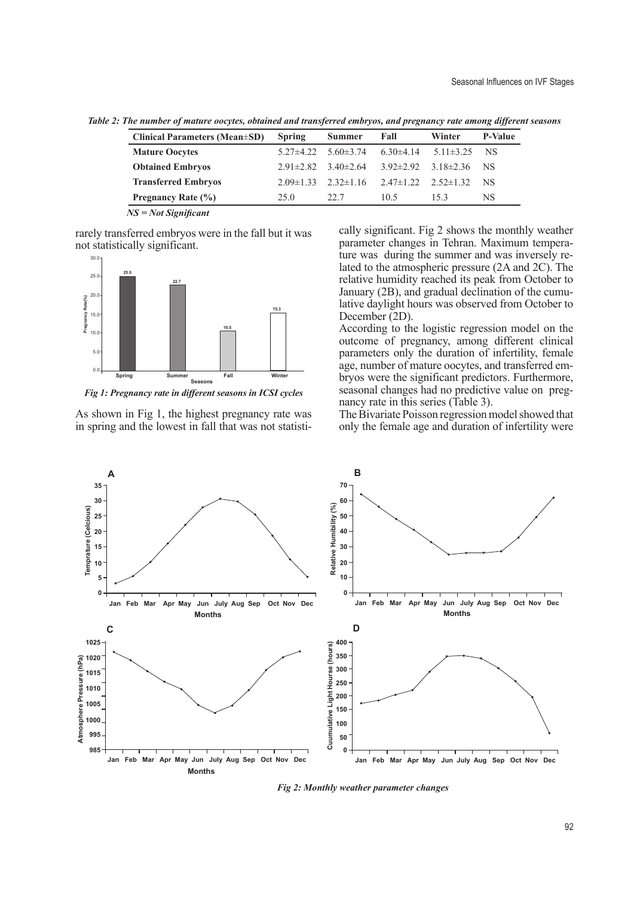| <b>Clinical Parameters (Mean</b> ±SD) | <b>Spring</b>   | <b>Summer</b>               | Fall                            | Winter          | <b>P-Value</b> |
|---------------------------------------|-----------------|-----------------------------|---------------------------------|-----------------|----------------|
| <b>Mature Oocytes</b>                 | $5.27 \pm 4.22$ | $5.60 \pm 3.74$             | $6.30\pm4.14$                   | $5.11 \pm 3.25$ | NS.            |
| <b>Obtained Embryos</b>               |                 | $2.91\pm 2.82$ 3.40 ± 2.64  | $3.92 \pm 2.92$ $3.18 \pm 2.36$ |                 | NS.            |
| <b>Transferred Embryos</b>            |                 | $2.09\pm1.33$ $2.32\pm1.16$ | $2.47 \pm 1.22$ $2.52 \pm 1.32$ |                 | NS.            |
| Pregnancy Rate (%)                    | 25.0            | 22.7                        | 10 <sub>5</sub>                 | 153             | NS             |

*Table 2: The number of mature oocytes, obtained and transferred embryos, and pregnancy rate among different seasons*

*NS = Not Significant*

rarely transferred embryos were in the fall but it was not statistically significant.



*Fig 1: Pregnancy rate in different seasons in ICSI cycles*

As shown in Fig 1, the highest pregnancy rate was in spring and the lowest in fall that was not statistically significant. Fig 2 shows the monthly weather parameter changes in Tehran. Maximum temperature was during the summer and was inversely related to the atmospheric pressure (2A and 2C). The relative humidity reached its peak from October to January (2B), and gradual declination of the cumulative daylight hours was observed from October to December (2D).

According to the logistic regression model on the outcome of pregnancy, among different clinical parameters only the duration of infertility, female age, number of mature oocytes, and transferred embryos were the significant predictors. Furthermore, seasonal changes had no predictive value on pregnancy rate in this series (Table 3).

The Bivariate Poisson regression model showed that only the female age and duration of infertility were



*Fig 2: Monthly weather parameter changes*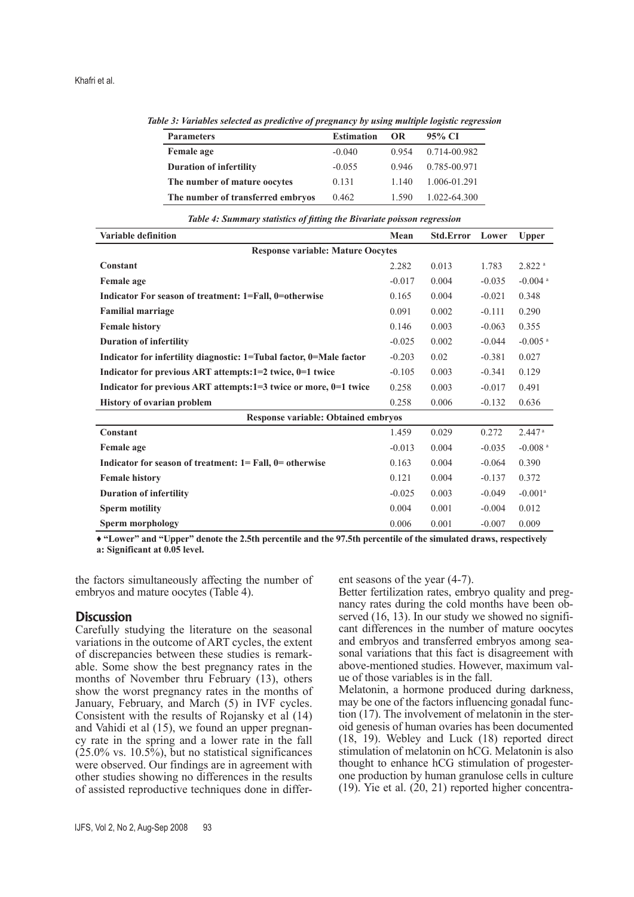**Parameters Estimation OR 95% CI Female age**  $-0.040$  0.954 0.714-00.982 **Duration of infertility**  $-0.055$  0.946 0.785-00.971 **The number of mature oocytes** 0.131 1.140 1.006-01.291 **The number of transferred embryos** 0.462 1.590 1.022-64.300

*Table 3: Variables selected as predictive of pregnancy by using multiple logistic regression*

| Table 4: Summary statistics of fitting the Bivariate poisson regression |  |  |  |
|-------------------------------------------------------------------------|--|--|--|
|                                                                         |  |  |  |

| Variable definition                                                 | Mean     | <b>Std.Error</b> | Lower    | <b>Upper</b>          |  |  |  |
|---------------------------------------------------------------------|----------|------------------|----------|-----------------------|--|--|--|
| <b>Response variable: Mature Oocytes</b>                            |          |                  |          |                       |  |  |  |
| Constant                                                            | 2.282    | 0.013            | 1.783    | $2.822$ <sup>a</sup>  |  |  |  |
| <b>Female age</b>                                                   | $-0.017$ | 0.004            | $-0.035$ | $-0.004$ <sup>a</sup> |  |  |  |
| Indicator For season of treatment: 1=Fall, 0=otherwise              | 0.165    | 0.004            | $-0.021$ | 0.348                 |  |  |  |
| <b>Familial marriage</b>                                            | 0.091    | 0.002            | $-0.111$ | 0.290                 |  |  |  |
| <b>Female history</b>                                               | 0.146    | 0.003            | $-0.063$ | 0.355                 |  |  |  |
| <b>Duration of infertility</b>                                      | $-0.025$ | 0.002            | $-0.044$ | $-0.005$ <sup>a</sup> |  |  |  |
| Indicator for infertility diagnostic: 1=Tubal factor, 0=Male factor | $-0.203$ | 0.02             | $-0.381$ | 0.027                 |  |  |  |
| Indicator for previous ART attempts:1=2 twice, 0=1 twice            | $-0.105$ | 0.003            | $-0.341$ | 0.129                 |  |  |  |
| Indicator for previous ART attempts:1=3 twice or more, $0=1$ twice  | 0.258    | 0.003            | $-0.017$ | 0.491                 |  |  |  |
| <b>History of ovarian problem</b>                                   | 0.258    | 0.006            | $-0.132$ | 0.636                 |  |  |  |
| <b>Response variable: Obtained embryos</b>                          |          |                  |          |                       |  |  |  |
| <b>Constant</b>                                                     | 1.459    | 0.029            | 0.272    | $2.447$ <sup>a</sup>  |  |  |  |
| Female age                                                          | $-0.013$ | 0.004            | $-0.035$ | $-0.008$ <sup>a</sup> |  |  |  |
| Indicator for season of treatment: $1 = Fall, 0 = otherwise$        | 0.163    | 0.004            | $-0.064$ | 0.390                 |  |  |  |
| <b>Female history</b>                                               | 0.121    | 0.004            | $-0.137$ | 0.372                 |  |  |  |
| <b>Duration of infertility</b>                                      | $-0.025$ | 0.003            | $-0.049$ | $-0.001$ <sup>a</sup> |  |  |  |
| <b>Sperm motility</b>                                               | 0.004    | 0.001            | $-0.004$ | 0.012                 |  |  |  |
| Sperm morphology                                                    | 0.006    | 0.001            | $-0.007$ | 0.009                 |  |  |  |

**♦ "Lower" and "Upper" denote the 2.5th percentile and the 97.5th percentile of the simulated draws, respectively a: Significant at 0.05 level.**

the factors simultaneously affecting the number of

embryos and mature oocytes (Table 4).

# **Discussion**

Carefully studying the literature on the seasonal variations in the outcome of ART cycles, the extent of discrepancies between these studies is remarkable. Some show the best pregnancy rates in the months of November thru February (13), others show the worst pregnancy rates in the months of January, February, and March (5) in IVF cycles. Consistent with the results of Rojansky et al (14) and Vahidi et al (15), we found an upper pregnancy rate in the spring and a lower rate in the fall  $(25.0\% \text{ vs. } 10.5\%)$ , but no statistical significances were observed. Our findings are in agreement with other studies showing no differences in the results of assisted reproductive techniques done in different seasons of the year (4-7).

Better fertilization rates, embryo quality and pregnancy rates during the cold months have been observed (16, 13). In our study we showed no significant differences in the number of mature oocytes and embryos and transferred embryos among seasonal variations that this fact is disagreement with above-mentioned studies. However, maximum value of those variables is in the fall.

Melatonin, a hormone produced during darkness, may be one of the factors influencing gonadal function (17). The involvement of melatonin in the steroid genesis of human ovaries has been documented (18, 19). Webley and Luck (18) reported direct stimulation of melatonin on hCG. Melatonin is also thought to enhance hCG stimulation of progesterone production by human granulose cells in culture  $(19)$ . Yie et al.  $(20, 21)$  reported higher concentra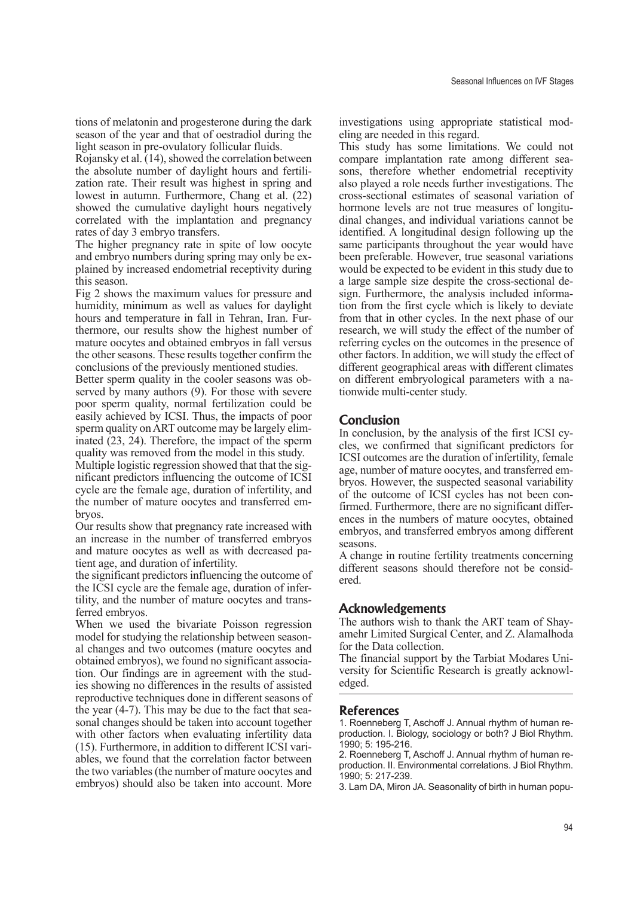tions of melatonin and progesterone during the dark season of the year and that of oestradiol during the light season in pre-ovulatory follicular fluids.

Rojansky et al. (14), showed the correlation between the absolute number of daylight hours and fertilization rate. Their result was highest in spring and lowest in autumn. Furthermore, Chang et al. (22) showed the cumulative daylight hours negatively correlated with the implantation and pregnancy rates of day 3 embryo transfers.

The higher pregnancy rate in spite of low oocyte and embryo numbers during spring may only be explained by increased endometrial receptivity during this season.

Fig 2 shows the maximum values for pressure and humidity, minimum as well as values for daylight hours and temperature in fall in Tehran, Iran. Furthermore, our results show the highest number of mature oocytes and obtained embryos in fall versus the other seasons. These results together confirm the conclusions of the previously mentioned studies.

Better sperm quality in the cooler seasons was observed by many authors (9). For those with severe poor sperm quality, normal fertilization could be easily achieved by ICSI. Thus, the impacts of poor sperm quality on ART outcome may be largely eliminated (23, 24). Therefore, the impact of the sperm quality was removed from the model in this study.

Multiple logistic regression showed that that the significant predictors influencing the outcome of ICSI cycle are the female age, duration of infertility, and the number of mature oocytes and transferred embryos.

Our results show that pregnancy rate increased with an increase in the number of transferred embryos and mature oocytes as well as with decreased patient age, and duration of infertility.

the significant predictors influencing the outcome of the ICSI cycle are the female age, duration of infertility, and the number of mature oocytes and transferred embryos.

When we used the bivariate Poisson regression model for studying the relationship between seasonal changes and two outcomes (mature oocytes and obtained embryos), we found no significant association. Our findings are in agreement with the studies showing no differences in the results of assisted reproductive techniques done in different seasons of the year (4-7). This may be due to the fact that seasonal changes should be taken into account together with other factors when evaluating infertility data (15). Furthermore, in addition to different ICSI variables, we found that the correlation factor between the two variables (the number of mature oocytes and embryos) should also be taken into account. More

investigations using appropriate statistical modeling are needed in this regard.

This study has some limitations. We could not compare implantation rate among different seasons, therefore whether endometrial receptivity also played a role needs further investigations. The cross-sectional estimates of seasonal variation of hormone levels are not true measures of longitudinal changes, and individual variations cannot be identified. A longitudinal design following up the same participants throughout the year would have been preferable. However, true seasonal variations would be expected to be evident in this study due to a large sample size despite the cross-sectional design. Furthermore, the analysis included information from the first cycle which is likely to deviate from that in other cycles. In the next phase of our research, we will study the effect of the number of referring cycles on the outcomes in the presence of other factors. In addition, we will study the effect of different geographical areas with different climates on different embryological parameters with a nationwide multi-center study.

## **Conclusion**

In conclusion, by the analysis of the first ICSI cycles, we confirmed that significant predictors for ICSI outcomes are the duration of infertility, female age, number of mature oocytes, and transferred embryos. However, the suspected seasonal variability of the outcome of ICSI cycles has not been confirmed. Furthermore, there are no significant differences in the numbers of mature oocytes, obtained embryos, and transferred embryos among different seasons.

A change in routine fertility treatments concerning different seasons should therefore not be considered.

## **Acknowledgements**

The authors wish to thank the ART team of Shayamehr Limited Surgical Center, and Z. Alamalhoda for the Data collection.

The financial support by the Tarbiat Modares University for Scientific Research is greatly acknowledged.

### **References**

1. Roenneberg T, Aschoff J. Annual rhythm of human reproduction. I. Biology, sociology or both? J Biol Rhythm. 1990; 5: 195-216.

2. Roenneberg T, Aschoff J. Annual rhythm of human reproduction. II. Environmental correlations. J Biol Rhythm. 1990; 5: 217-239.

3. Lam DA, Miron JA. Seasonality of birth in human popu-